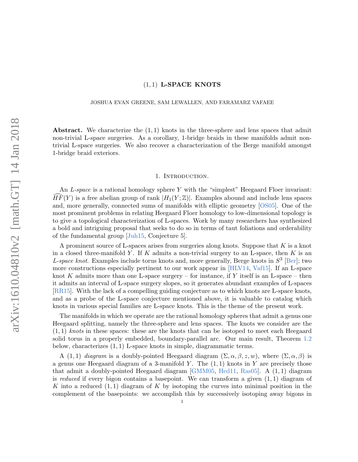# $(1, 1)$  L-SPACE KNOTS

## JOSHUA EVAN GREENE, SAM LEWALLEN, AND FARAMARZ VAFAEE

Abstract. We characterize the  $(1, 1)$  knots in the three-sphere and lens spaces that admit non-trivial L-space surgeries. As a corollary, 1-bridge braids in these manifolds admit nontrivial L-space surgeries. We also recover a characterization of the Berge manifold amongst 1-bridge braid exteriors.

## 1. INTRODUCTION.

An L-space is a rational homology sphere Y with the "simplest" Heegaard Floer invariant:  $HF(Y)$  is a free abelian group of rank  $|H_1(Y;\mathbb{Z})|$ . Examples abound and include lens spaces and, more generally, connected sums of manifolds with elliptic geometry [\[OS05\]](#page-16-0). One of the most prominent problems in relating Heegaard Floer homology to low-dimensional topology is to give a topological characterization of L-spaces. Work by many researchers has synthesized a bold and intriguing proposal that seeks to do so in terms of taut foliations and orderability of the fundamental group [\[Juh15,](#page-15-0) Conjecture 5].

A prominent source of L-spaces arises from surgeries along knots. Suppose that  $K$  is a knot in a closed three-manifold Y. If K admits a non-trivial surgery to an L-space, then K is an L-space knot. Examples include torus knots and, more generally, Berge knots in  $S^3$  [\[Ber\]](#page-15-1); two more constructions especially pertinent to our work appear in [\[HLV14,](#page-15-2) [Vaf15\]](#page-16-1). If an L-space knot K admits more than one L-space surgery – for instance, if Y itself is an L-space – then it admits an interval of L-space surgery slopes, so it generates abundant examples of L-spaces [\[RR15\]](#page-16-2). With the lack of a compelling guiding conjecture as to which knots are L-space knots, and as a probe of the L-space conjecture mentioned above, it is valuable to catalog which knots in various special families are L-space knots. This is the theme of the present work.

The manifolds in which we operate are the rational homology spheres that admit a genus one Heegaard splitting, namely the three-sphere and lens spaces. The knots we consider are the  $(1, 1)$  knots in these spaces: these are the knots that can be isotoped to meet each Heegaard solid torus in a properly embedded, boundary-parallel arc. Our main result, Theorem [1.2](#page-1-0) below, characterizes (1, 1) L-space knots in simple, diagrammatic terms.

A (1, 1) diagram is a doubly-pointed Heegaard diagram  $(\Sigma, \alpha, \beta, z, w)$ , where  $(\Sigma, \alpha, \beta)$  is a genus one Heegaard diagram of a 3-manifold Y. The  $(1, 1)$  knots in Y are precisely those that admit a doubly-pointed Heegaard diagram [\[GMM05,](#page-15-3) [Hed11,](#page-15-4) [Ras05\]](#page-16-3). A (1, 1) diagram is reduced if every bigon contains a basepoint. We can transform a given  $(1, 1)$  diagram of K into a reduced  $(1,1)$  diagram of K by isotoping the curves into minimal position in the complement of the basepoints: we accomplish this by successively isotoping away bigons in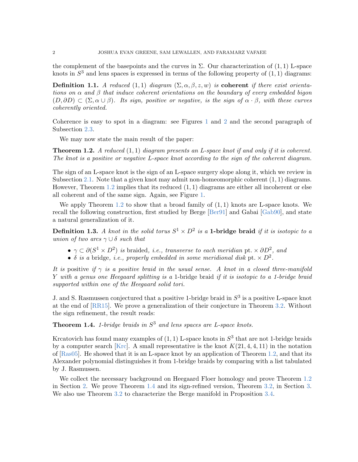the complement of the basepoints and the curves in  $\Sigma$ . Our characterization of  $(1, 1)$  L-space knots in  $S<sup>3</sup>$  and lens spaces is expressed in terms of the following property of  $(1,1)$  diagrams:

**Definition 1.1.** A reduced (1,1) diagram  $(\Sigma, \alpha, \beta, z, w)$  is **coherent** if there exist orientations on  $\alpha$  and  $\beta$  that induce coherent orientations on the boundary of every embedded bigon  $(D, \partial D) \subset (\Sigma, \alpha \cup \beta)$ . Its sign, positive or negative, is the sign of  $\alpha \cdot \beta$ , with these curves coherently oriented.

Coherence is easy to spot in a diagram: see Figures [1](#page-2-0) and [2](#page-6-0) and the second paragraph of Subsection [2.3.](#page-6-1)

We may now state the main result of the paper:

<span id="page-1-0"></span>**Theorem 1.2.** A reduced  $(1, 1)$  diagram presents an L-space knot if and only if it is coherent. The knot is a positive or negative L-space knot according to the sign of the coherent diagram.

The sign of an L-space knot is the sign of an L-space surgery slope along it, which we review in Subsection [2.1.](#page-3-0) Note that a given knot may admit non-homeomorphic coherent  $(1, 1)$  diagrams. However, Theorem [1.2](#page-1-0) implies that its reduced (1, 1) diagrams are either all incoherent or else all coherent and of the same sign. Again, see Figure [1.](#page-2-0)

We apply Theorem [1.2](#page-1-0) to show that a broad family of  $(1,1)$  knots are L-space knots. We recall the following construction, first studied by Berge [\[Ber91\]](#page-15-5) and Gabai [\[Gab90\]](#page-15-6), and state a natural generalization of it.

**Definition 1.3.** A knot in the solid torus  $S^1 \times D^2$  is a **1-bridge braid** if it is isotopic to a union of two arcs  $\gamma \cup \delta$  such that

- $\gamma \subset \partial (S^1 \times D^2)$  is braided, i.e., transverse to each meridian pt.  $\times \partial D^2$ , and
- $\delta$  is a bridge, i.e., properly embedded in some meridional disk pt.  $\times D^2$ .

It is positive if  $\gamma$  is a positive braid in the usual sense. A knot in a closed three-manifold Y with a genus one Heegaard splitting is a 1-bridge braid if it is isotopic to a 1-bridge braid supported within one of the Heegaard solid tori.

J. and S. Rasmussen conjectured that a positive 1-bridge braid in  $S<sup>3</sup>$  is a positive L-space knot at the end of [\[RR15\]](#page-16-2). We prove a generalization of their conjecture in Theorem [3.2.](#page-12-0) Without the sign refinement, the result reads:

<span id="page-1-1"></span>**Theorem 1.4.** 1-bridge braids in  $S<sup>3</sup>$  and lens spaces are L-space knots.

Krcatovich has found many examples of  $(1, 1)$  L-space knots in  $S<sup>3</sup>$  that are not 1-bridge braids by a computer search [\[Krc\]](#page-15-7). A small representative is the knot  $K(21, 4, 4, 11)$  in the notation of  $[Ras05]$ . He showed that it is an L-space knot by an application of Theorem [1.2,](#page-1-0) and that its Alexander polynomial distinguishes it from 1-bridge braids by comparing with a list tabulated by J. Rasmussen.

We collect the necessary background on Heegaard Floer homology and prove Theorem [1.2](#page-1-0) in Section [2.](#page-3-1) We prove Theorem [1.4](#page-1-1) and its sign-refined version, Theorem [3.2,](#page-12-0) in Section [3.](#page-9-0) We also use Theorem [3.2](#page-12-0) to characterize the Berge manifold in Proposition [3.4.](#page-14-0)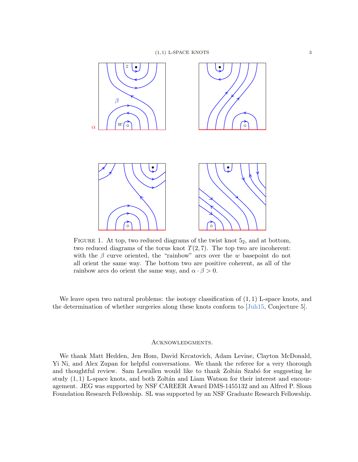

FIGURE 1. At top, two reduced diagrams of the twist knot  $5<sub>2</sub>$ , and at bottom, two reduced diagrams of the torus knot  $T(2, 7)$ . The top two are incoherent: with the  $\beta$  curve oriented, the "rainbow" arcs over the w basepoint do not all orient the same way. The bottom two are positive coherent, as all of the rainbow arcs do orient the same way, and  $\alpha \cdot \beta > 0$ .

We leave open two natural problems: the isotopy classification of  $(1,1)$  L-space knots, and the determination of whether surgeries along these knots conform to [\[Juh15,](#page-15-0) Conjecture 5].

## <span id="page-2-0"></span>Acknowledgments.

We thank Matt Hedden, Jen Hom, David Krcatovich, Adam Levine, Clayton McDonald, Yi Ni, and Alex Zupan for helpful conversations. We thank the referee for a very thorough and thoughtful review. Sam Lewallen would like to thank Zoltán Szabó for suggesting he study  $(1, 1)$  L-space knots, and both Zoltán and Liam Watson for their interest and encouragement. JEG was supported by NSF CAREER Award DMS-1455132 and an Alfred P. Sloan Foundation Research Fellowship. SL was supported by an NSF Graduate Research Fellowship.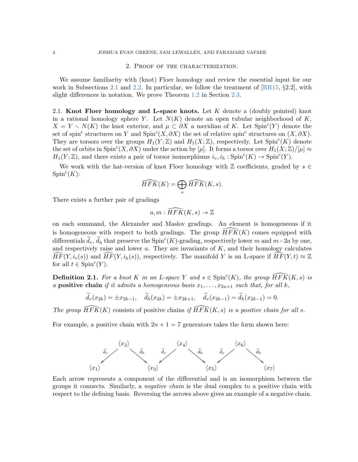#### 2. Proof of the characterization.

<span id="page-3-1"></span>We assume familiarity with (knot) Floer homology and review the essential input for our work in Subsections [2.1](#page-3-0) and [2.2.](#page-4-0) In particular, we follow the treatment of  $[RR15, §2.2]$  $[RR15, §2.2]$ , with slight differences in notation. We prove Theorem [1.2](#page-1-0) in Section [2.3.](#page-6-1)

<span id="page-3-0"></span>2.1. Knot Floer homology and L-space knots. Let  $K$  denote a (doubly pointed) knot in a rational homology sphere Y. Let  $N(K)$  denote an open tubular neighborhood of K,  $X = Y \setminus N(K)$  the knot exterior, and  $\mu \subset \partial X$  a meridian of K. Let Spin<sup>c</sup>(Y) denote the set of spin<sup>c</sup> structures on Y and Spin<sup>c</sup>(X, $\partial X$ ) the set of relative spin<sup>c</sup> structures on  $(X, \partial X)$ . They are torsors over the groups  $H_1(Y;\mathbb{Z})$  and  $H_1(X;\mathbb{Z})$ , respectively. Let  $\text{Spin}^c(K)$  denote the set of orbits in  $\text{Spin}^c(X, \partial X)$  under the action by [µ]. It forms a torsor over  $H_1(X; \mathbb{Z})/[\mu] \approx$  $H_1(Y;\mathbb{Z})$ , and there exists a pair of torsor isomorphisms  $i_v, i_h : Spin^c(K) \to Spin^c(Y)$ .

We work with the hat-version of knot Floer homology with  $\mathbb Z$  coefficients, graded by  $s \in \mathbb Z$  $Spin<sup>c</sup>(K)$ :

$$
\widehat{HFK}(K) = \bigoplus_s \widehat{HFK}(K, s).
$$

There exists a further pair of gradings

$$
a, m: \widehat{HFK}(K, s) \to \mathbb{Z}
$$

on each summand, the Alexander and Maslov gradings. An element is homogeneous if it is homogeneous with respect to both gradings. The group  $\widehat{HFK}(K)$  comes equipped with differentials  $\tilde{d}_v$ ,  $\tilde{d}_h$  that preserve the Spin<sup>c</sup>(K)-grading, respectively lower m and m−2a by one, and respectively raise and lower  $a$ . They are invariants of  $K$ , and their homology calculates  $\widehat{HF}(Y, i_{\nu}(s))$  and  $\widehat{HF}(Y, i_h(s))$ , respectively. The manifold Y is an L-space if  $\widehat{HF}(Y, t) \approx \mathbb{Z}$ for all  $t \in \text{Spin}^c(Y)$ .

<span id="page-3-2"></span>**Definition 2.1.** For a knot K in an L-space Y and  $s \in \text{Spin}^c(K)$ , the group  $\widehat{HFK}(K, s)$  is a **positive chain** if it admits a homogeneous basis  $x_1, \ldots, x_{2n+1}$  such that, for all k,

$$
\widetilde{d}_{v}(x_{2k}) = \pm x_{2k-1}, \quad \widetilde{d}_{h}(x_{2k}) = \pm x_{2k+1}, \quad \widetilde{d}_{v}(x_{2k-1}) = \widetilde{d}_{h}(x_{2k-1}) = 0.
$$

The group  $\widehat{HFK}(K)$  consists of positive chains if  $\widehat{HFK}(K, s)$  is a positive chain for all s.

For example, a positive chain with  $2n + 1 = 7$  generators takes the form shown here:



Each arrow represents a component of the differential and is an isomorphism between the groups it connects. Similarly, a negative chain is the dual complex to a positive chain with respect to the defining basis. Reversing the arrows above gives an example of a negative chain.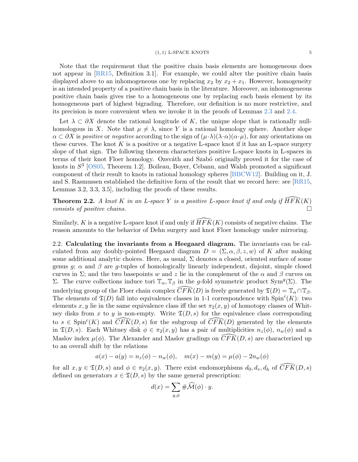Note that the requirement that the positive chain basis elements are homogeneous does not appear in [\[RR15,](#page-16-2) Definition 3.1]. For example, we could alter the positive chain basis displayed above to an inhomogeneous one by replacing  $x_2$  by  $x_2 + x_1$ . However, homogeneity is an intended property of a positive chain basis in the literature. Moreover, an inhomogeneous positive chain basis gives rise to a homogeneous one by replacing each basis element by its homogeneous part of highest bigrading. Therefore, our definition is no more restrictive, and its precision is more convenient when we invoke it in the proofs of Lemmas [2.3](#page-5-0) and [2.4.](#page-7-0)

Let  $\lambda \subset \partial X$  denote the rational longitude of K, the unique slope that is rationally nullhomologous in X. Note that  $\mu \neq \lambda$ , since Y is a rational homology sphere. Another slope  $\alpha \subset \partial X$  is positive or negative according to the sign of  $(\mu \cdot \lambda)(\lambda \cdot \alpha)(\alpha \cdot \mu)$ , for any orientations on these curves. The knot  $K$  is a positive or a negative L-space knot if it has an L-space surgery slope of that sign. The following theorem characterizes positive L-space knots in L-spaces in terms of their knot Floer homology. Ozsváth and Szabó originally proved it for the case of knots in  $S<sup>3</sup>$  [\[OS05,](#page-16-0) Theorem 1.2]. Boileau, Boyer, Cebanu, and Walsh promoted a significant component of their result to knots in rational homology spheres [\[BBCW12\]](#page-15-8). Building on it, J. and S. Rasmussen established the definitive form of the result that we record here: see [\[RR15,](#page-16-2) Lemmas 3.2, 3.3, 3.5], including the proofs of these results.

<span id="page-4-1"></span>**Theorem 2.2.** A knot K in an L-space Y is a positive L-space knot if and only if  $\widehat{HFK}(K)$ consists of positive chains.

Similarly, K is a negative L-space knot if and only if  $\overline{HFK}(K)$  consists of negative chains. The reason amounts to the behavior of Dehn surgery and knot Floer homology under mirroring.

<span id="page-4-0"></span>2.2. Calculating the invariants from a Heegaard diagram. The invariants can be calculated from any doubly-pointed Heegaard diagram  $D = (\Sigma, \alpha, \beta, z, w)$  of K after making some additional analytic choices. Here, as usual,  $\Sigma$  denotes a closed, oriented surface of some genus g;  $\alpha$  and  $\beta$  are g-tuples of homologically linearly independent, disjoint, simple closed curves in  $\Sigma$ ; and the two basepoints w and z lie in the complement of the  $\alpha$  and  $\beta$  curves on Σ. The curve collections induce tori  $\mathbb{T}_{\alpha}$ ,  $\mathbb{T}_{\beta}$  in the g-fold symmetric product Sym<sup>g</sup>(Σ). The underlying group of the Floer chain complex  $\widehat{CFK}(D)$  is freely generated by  $\mathfrak{T}(D) = \mathbb{T}_{\alpha} \cap \mathbb{T}_{\beta}$ . The elements of  $\mathfrak{T}(D)$  fall into equivalence classes in 1-1 correspondence with  $\text{Spin}^c(K)$ : two elements x, y lie in the same equivalence class iff the set  $\pi_2(x, y)$  of homotopy classes of Whitney disks from x to y is non-empty. Write  $\mathfrak{T}(D, s)$  for the equivalence class corresponding to  $s \in \text{Spin}^c(K)$  and  $\widehat{CFK}(D, s)$  for the subgroup of  $\widehat{CFK}(D)$  generated by the elements in  $\mathfrak{T}(D, s)$ . Each Whitney disk  $\phi \in \pi_2(x, y)$  has a pair of multiplicities  $n_z(\phi)$ ,  $n_w(\phi)$  and a Maslov index  $\mu(\phi)$ . The Alexander and Maslov gradings on  $\widehat{CFK}(D, s)$  are characterized up to an overall shift by the relations

$$
a(x) - a(y) = n_z(\phi) - n_w(\phi), \quad m(x) - m(y) = \mu(\phi) - 2n_w(\phi)
$$

for all  $x, y \in \mathfrak{T}(D, s)$  and  $\phi \in \pi_2(x, y)$ . There exist endomorphisms  $d_0, d_v, d_h$  of  $CFK(D, s)$ defined on generators  $x \in \mathfrak{T}(D, s)$  by the same general prescription:

$$
d(x) = \sum_{y,\phi} \# \widehat{\mathcal{M}}(\phi) \cdot y.
$$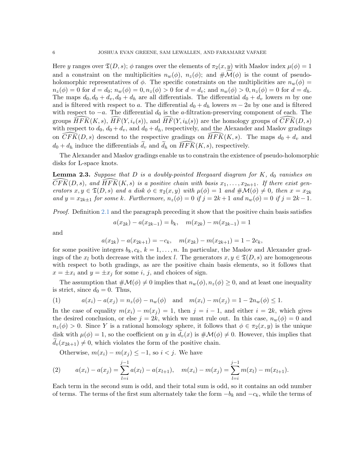Here y ranges over  $\mathfrak{T}(D, s)$ ;  $\phi$  ranges over the elements of  $\pi_2(x, y)$  with Maslov index  $\mu(\phi) = 1$ and a constraint on the multiplicities  $n_w(\phi)$ ,  $n_z(\phi)$ ; and  $\#\mathcal{M}(\phi)$  is the count of pseudoholomorphic representatives of  $\phi$ . The specific constraints on the multiplicities are  $n_w(\phi)$  =  $n_z(\phi) = 0$  for  $d = d_0$ ;  $n_w(\phi) = 0, n_z(\phi) > 0$  for  $d = d_v$ ; and  $n_w(\phi) > 0, n_z(\phi) = 0$  for  $d = d_h$ . The maps  $d_0, d_0 + d_v, d_0 + d_h$  are all differentials. The differential  $d_0 + d_v$  lowers m by one and is filtered with respect to a. The differential  $d_0 + d_h$  lowers  $m - 2a$  by one and is filtered with respect to  $-a$ . The differential  $d_0$  is the a-filtration-preserving component of each. The groups  $HFK(K, s), HF(Y, i_v(s))$ , and  $HF(Y, i_h(s))$  are the homology groups of  $CFK(D, s)$ with respect to  $d_0$ ,  $d_0 + d_v$ , and  $d_0 + d_h$ , respectively, and the Alexander and Maslov gradings on  $CFK(D, s)$  descend to the respective gradings on  $HFK(K, s)$ . The maps  $d_0 + d_v$  and  $d_0 + d_h$  induce the differentials  $\tilde{d}_v$  and  $\tilde{d}_h$  on  $\widehat{HFK}(K, s)$ , respectively.

The Alexander and Maslov gradings enable us to constrain the existence of pseudo-holomorphic disks for L-space knots.

<span id="page-5-0"></span>**Lemma 2.3.** Suppose that D is a doubly-pointed Heegaard diagram for K,  $d_0$  vanishes on  $CFK(D, s)$ , and  $HFK(K, s)$  is a positive chain with basis  $x_1, \ldots, x_{2n+1}$ . If there exist generators  $x, y \in \mathfrak{T}(D, s)$  and a disk  $\phi \in \pi_2(x, y)$  with  $\mu(\phi) = 1$  and  $\# \mathcal{M}(\phi) \neq 0$ , then  $x = x_{2k}$ and  $y = x_{2k\pm 1}$  for some k. Furthermore,  $n_z(\phi) = 0$  if  $j = 2k + 1$  and  $n_w(\phi) = 0$  if  $j = 2k - 1$ .

Proof. Definition [2.1](#page-3-2) and the paragraph preceding it show that the positive chain basis satisfies

$$
a(x_{2k}) - a(x_{2k-1}) = b_k, \quad m(x_{2k}) - m(x_{2k-1}) = 1
$$

and

$$
a(x_{2k}) - a(x_{2k+1}) = -c_k, \quad m(x_{2k}) - m(x_{2k+1}) = 1 - 2c_k,
$$

for some positive integers  $b_k, c_k, k = 1, \ldots, n$ . In particular, the Maslov and Alexander gradings of the  $x_l$  both decrease with the index l. The generators  $x, y \in \mathfrak{T}(D, s)$  are homogeneous with respect to both gradings, as are the positive chain basis elements, so it follows that  $x = \pm x_i$  and  $y = \pm x_j$  for some i, j, and choices of sign.

The assumption that  $\#\mathcal{M}(\phi) \neq 0$  implies that  $n_w(\phi), n_z(\phi) \geq 0$ , and at least one inequality is strict, since  $d_0 = 0$ . Thus,

<span id="page-5-2"></span>(1) 
$$
a(x_i) - a(x_j) = n_z(\phi) - n_w(\phi)
$$
 and  $m(x_i) - m(x_j) = 1 - 2n_w(\phi) \le 1$ .

In the case of equality  $m(x_i) - m(x_j) = 1$ , then  $j = i - 1$ , and either  $i = 2k$ , which gives the desired conclusion, or else  $j = 2k$ , which we must rule out. In this case,  $n_w(\phi) = 0$  and  $n_z(\phi) > 0$ . Since Y is a rational homology sphere, it follows that  $\phi \in \pi_2(x, y)$  is the unique disk with  $\mu(\phi) = 1$ , so the coefficient on y in  $d_v(x)$  is  $\#\mathcal{M}(\phi) \neq 0$ . However, this implies that  $d_v(x_{2k+1}) \neq 0$ , which violates the form of the positive chain.

<span id="page-5-1"></span>Otherwise,  $m(x_i) - m(x_j) \leq -1$ , so  $i < j$ . We have

(2) 
$$
a(x_i) - a(x_j) = \sum_{l=i}^{j-1} a(x_l) - a(x_{l+1}), \quad m(x_i) - m(x_j) = \sum_{l=i}^{j-1} m(x_l) - m(x_{l+1}).
$$

Each term in the second sum is odd, and their total sum is odd, so it contains an odd number of terms. The terms of the first sum alternately take the form  $-b_k$  and  $-c_k$ , while the terms of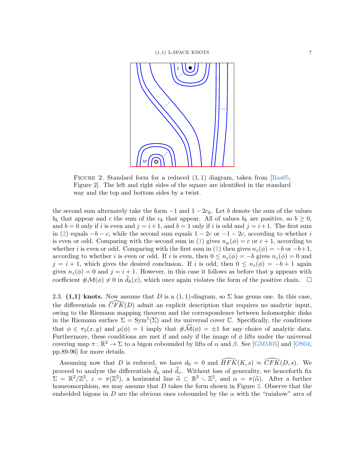<span id="page-6-0"></span>

FIGURE 2. Standard form for a reduced  $(1,1)$  diagram, taken from [\[Ras05,](#page-16-3) Figure 2]. The left and right sides of the square are identified in the standard way and the top and bottom sides by a twist.

the second sum alternately take the form  $-1$  and  $1 - 2c_k$ . Let b denote the sum of the values  $b_k$  that appear and c the sum of the  $c_k$  that appear. All of values  $b_k$  are positive, so  $b \geq 0$ , and  $b = 0$  only if i is even and  $j = i + 1$ , and  $b = 1$  only if i is odd and  $j = i + 1$ . The first sum in [\(2\)](#page-5-1) equals  $-b - c$ , while the second sum equals  $1 - 2c$  or  $-1 - 2c$ , according to whether i is even or odd. Comparing with the second sum in [\(1\)](#page-5-2) gives  $n_w(\phi) = c$  or  $c + 1$ , according to whether i is even or odd. Comparing with the first sum in [\(1\)](#page-5-2) then gives  $n_z(\phi) = -b$  or  $-b+1$ , according to whether i is even or odd. If i is even, then  $0 \leq n_z(\phi) = -b$  gives  $n_z(\phi) = 0$  and  $j = i + 1$ , which gives the desired conclusion. If i is odd, then  $0 \leq n_z(\phi) = -b + 1$  again gives  $n_z(\phi) = 0$  and  $j = i + 1$ . However, in this case it follows as before that y appears with coefficient  $\#\mathcal{M}(\phi) \neq 0$  in  $\tilde{d}_h(x)$ , which once again violates the form of the positive chain.  $\Box$ 

<span id="page-6-1"></span>2.3. (1,1) knots. Now assume that D is a  $(1,1)$ -diagram, so  $\Sigma$  has genus one. In this case, the differentials on  $\widehat{CFK}(D)$  admit an explicit description that requires no analytic input, owing to the Riemann mapping theorem and the correspondence between holomorphic disks in the Riemann surface  $\Sigma = \text{Sym}^1(\Sigma)$  and its universal cover C. Specifically, the conditions that  $\phi \in \pi_2(x, y)$  and  $\mu(\phi) = 1$  imply that  $\#\mathcal{M}(\phi) = \pm 1$  for any choice of analytic data. Furthermore, these conditions are met if and only if the image of  $\phi$  lifts under the universal covering map  $\pi : \mathbb{R}^2 \to \Sigma$  to a bigon cobounded by lifts of  $\alpha$  and  $\beta$ . See [\[GMM05\]](#page-15-3) and [\[OS04,](#page-15-9) pp.89-96] for more details.

Assuming now that D is reduced, we have  $d_0 = 0$  and  $\widehat{HFK}(K, s) \approx \widehat{CFK}(D, s)$ . We proceed to analyze the differentials  $d_h$  and  $d_v$ . Without loss of generality, we henceforth fix  $\Sigma = \mathbb{R}^2/\mathbb{Z}^2$ ,  $z = \pi(\mathbb{Z}^2)$ , a horizontal line  $\tilde{\alpha} \subset \mathbb{R}^2 \setminus \mathbb{Z}^2$ , and  $\alpha = \pi(\tilde{\alpha})$ . After a further homeomorphism, we may assume that  $D$  takes the form shown in Figure [2.](#page-6-0) Observe that the embedded bigons in D are the obvious ones cobounded by the  $\alpha$  with the "rainbow" arcs of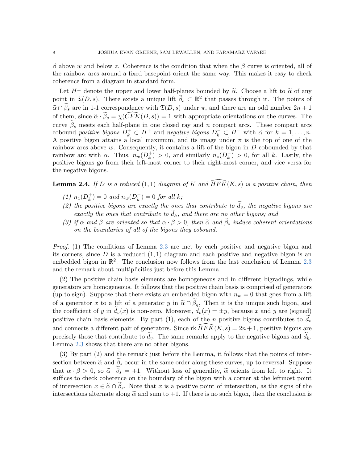β above w and below z. Coherence is the condition that when the β curve is oriented, all of the rainbow arcs around a fixed basepoint orient the same way. This makes it easy to check coherence from a diagram in standard form.

Let  $H^{\pm}$  denote the upper and lower half-planes bounded by  $\tilde{\alpha}$ . Choose a lift to  $\tilde{\alpha}$  of any point in  $\mathfrak{T}(D, s)$ . There exists a unique lift  $\widetilde{\beta}_s \subset \mathbb{R}^2$  that passes through it. The points of  $\tilde{\alpha} \cap \tilde{\beta}_s$  are in 1-1 correspondence with  $\mathfrak{T}(D, s)$  under  $\pi$ , and there are an odd number  $2n + 1$ of them, since  $\tilde{\alpha} \cdot \tilde{\beta}_s = \chi(\widehat{CFK}(D, s)) = 1$  with appropriate orientations on the curves. The curve  $\tilde{\beta}_s$  meets each half-plane in one closed ray and n compact arcs. These compact arcs cobound positive bigons  $\overline{D}_k^+ \subset H^+$  and negative bigons  $D_k^- \subset H^-$  with  $\tilde{\alpha}$  for  $k = 1, \ldots, n$ .<br>A positive bigon attains a local maximum, and its image under  $\pi$  is the top of one of the A positive bigon attains a local maximum, and its image under  $\pi$  is the top of one of the rainbow arcs above  $w$ . Consequently, it contains a lift of the bigon in  $D$  cobounded by that rainbow arc with  $\alpha$ . Thus,  $n_w(D_k^+)$  $\binom{+}{k} > 0$ , and similarly  $n_z(D_k^-)$  $\binom{-}{k} > 0$ , for all k. Lastly, the positive bigons go from their left-most corner to their right-most corner, and vice versa for the negative bigons.

<span id="page-7-0"></span>**Lemma 2.4.** If D is a reduced (1,1) diagram of K and  $\widehat{HFK}(K, s)$  is a positive chain, then

- (1)  $n_z(D_k^+)$  $(k<sup>+</sup>) = 0$  and  $n<sub>w</sub>(D<sub>k</sub><sup>-</sup>$ </sup>  $\binom{-}{k} = 0$  for all k;
- (2) the positive bigons are exactly the ones that contribute to  $\tilde{d}_v$ , the negative bigons are exactly the ones that contribute to  $d_h$ , and there are no other bigons; and
- (3) if  $\alpha$  and  $\beta$  are oriented so that  $\alpha \cdot \beta > 0$ , then  $\tilde{\alpha}$  and  $\beta_s$  induce coherent orientations on the boundaries of all of the bigons they cobound.

Proof. (1) The conditions of Lemma [2.3](#page-5-0) are met by each positive and negative bigon and its corners, since D is a reduced  $(1, 1)$  diagram and each positive and negative bigon is an embedded bigon in  $\mathbb{R}^2$ . The conclusion now follows from the last conclusion of Lemma [2.3](#page-5-0) and the remark about multiplicities just before this Lemma.

(2) The positive chain basis elements are homogeneous and in different bigradings, while generators are homogeneous. It follows that the positive chain basis is comprised of generators (up to sign). Suppose that there exists an embedded bigon with  $n_w = 0$  that goes from a lift of a generator x to a lift of a generator y in  $\tilde{\alpha} \cap \beta_s$ . Then it is the unique such bigon, and the coefficient of y in  $d_v(x)$  is non-zero. Moreover,  $d_v(x) = \pm y$ , because x and y are (signed) positive chain basis elements. By part (1), each of the n positive bigons contributes to  $d_v$ and connects a different pair of generators. Since  $\text{rk}\widehat{HFK}(K, s) = 2n + 1$ , positive bigons are precisely those that contribute to  $d_v$ . The same remarks apply to the negative bigons and  $d_h$ . Lemma [2.3](#page-5-0) shows that there are no other bigons.

(3) By part (2) and the remark just before the Lemma, it follows that the points of intersection between  $\tilde{\alpha}$  and  $\tilde{\beta}_s$  occur in the same order along these curves, up to reversal. Suppose that  $\alpha \cdot \beta > 0$ , so  $\tilde{\alpha} \cdot \beta_s = +1$ . Without loss of generality,  $\tilde{\alpha}$  orients from left to right. It suffices to check coherence on the boundary of the bigon with a corner at the leftmost point of intersection  $x \in \tilde{\alpha} \cap \tilde{\beta}_s$ . Note that x is a positive point of intersection, as the signs of the intersections alternate along  $\tilde{\alpha}$  and sum to  $+1$ . If there is no such bigon, then the conclusion is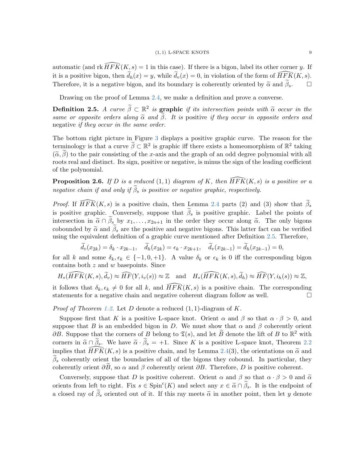automatic (and rk  $\overline{HFK}(K, s) = 1$  in this case). If there is a bigon, label its other corner y. If it is a positive bigon, then  $\widetilde{d}_h(x) = y$ , while  $\widetilde{d}_v(x) = 0$ , in violation of the form of  $\widehat{HFK}(K, s)$ . Therefore, it is a negative bigon, and its boundary is coherently oriented by  $\tilde{\alpha}$  and  $\tilde{\beta}_s$ .  $\square$ 

Drawing on the proof of Lemma [2.4,](#page-7-0) we make a definition and prove a converse.

<span id="page-8-0"></span>**Definition 2.5.** A curve  $\widetilde{\beta} \subset \mathbb{R}^2$  is **graphic** if its intersection points with  $\widetilde{\alpha}$  occur in the same or opposite orders along  $\tilde{\alpha}$  and  $\tilde{\beta}$ . It is positive if they occur in opposite orders and negative if they occur in the same order.

The bottom right picture in Figure [3](#page-10-0) displays a positive graphic curve. The reason for the terminology is that a curve  $\tilde{\beta} \subset \mathbb{R}^2$  is graphic iff there exists a homeomorphism of  $\mathbb{R}^2$  taking  $(\tilde{\alpha}, \tilde{\beta})$  to the pair consisting of the x-axis and the graph of an odd degree polynomial with all roots real and distinct. Its sign, positive or negative, is minus the sign of the leading coefficient of the polynomial.

<span id="page-8-1"></span>**Proposition 2.6.** If D is a reduced  $(1,1)$  diagram of K, then  $\widehat{HFK}(K, s)$  is a positive or a negative chain if and only if  $\tilde{\beta}_s$  is positive or negative graphic, respectively.

*Proof.* If  $HFK(K, s)$  is a positive chain, then Lemma [2.4](#page-7-0) parts (2) and (3) show that  $\beta_s$ is positive graphic. Conversely, suppose that  $\tilde{\beta}_s$  is positive graphic. Label the points of intersection in  $\tilde{\alpha} \cap \tilde{\beta}_s$  by  $x_1, \ldots, x_{2n+1}$  in the order they occur along  $\tilde{\alpha}$ . The only bigons cobounded by  $\tilde{\alpha}$  and  $\tilde{\beta}_s$  are the positive and negative bigons. This latter fact can be verified using the equivalent definition of a graphic curve mentioned after Definition [2.5.](#page-8-0) Therefore,

$$
\widetilde{d}_v(x_{2k}) = \delta_k \cdot x_{2k-1}, \quad \widetilde{d}_h(x_{2k}) = \epsilon_k \cdot x_{2k+1}, \quad \widetilde{d}_v(x_{2k-1}) = \widetilde{d}_h(x_{2k-1}) = 0,
$$

for all k and some  $\delta_k, \epsilon_k \in \{-1, 0, +1\}$ . A value  $\delta_k$  or  $\epsilon_k$  is 0 iff the corresponding bigon contains both z and w basepoints. Since

$$
H_*(\widehat{HFK}(K,s),\widetilde{d}_v) \approx \widehat{HF}(Y,i_v(s)) \approx \mathbb{Z} \quad \text{and} \quad H_*(\widehat{HFK}(K,s),\widetilde{d}_h) \approx \widehat{HF}(Y,i_h(s)) \approx \mathbb{Z},
$$

it follows that  $\delta_k, \epsilon_k \neq 0$  for all k, and  $\widehat{HFK}(K, s)$  is a positive chain. The corresponding statements for a negative chain and negative coherent diagram follow as well.

*Proof of Theorem [1.2.](#page-1-0)* Let D denote a reduced  $(1, 1)$ -diagram of K.

Suppose first that K is a positive L-space knot. Orient  $\alpha$  and  $\beta$  so that  $\alpha \cdot \beta > 0$ , and suppose that B is an embedded bigon in D. We must show that  $\alpha$  and  $\beta$  coherently orient  $\partial B$ . Suppose that the corners of B belong to  $\mathfrak{T}(s)$ , and let  $\widetilde{B}$  denote the lift of B to  $\mathbb{R}^2$  with corners in  $\tilde{\alpha} \cap \tilde{\beta}_s$ . We have  $\tilde{\alpha} \cdot \tilde{\beta}_s = +1$ . Since K is a positive L-space knot, Theorem [2.2](#page-4-1) implies that  $\widehat{HFK}(K, s)$  is a positive chain, and by Lemma [2.4\(](#page-7-0)3), the orientations on  $\widetilde{\alpha}$  and  $\beta_s$  coherently orient the boundaries of all of the bigons they cobound. In particular, they coherently orient  $\partial B$ , so  $\alpha$  and  $\beta$  coherently orient  $\partial B$ . Therefore, D is positive coherent.

Conversely, suppose that D is positive coherent. Orient  $\alpha$  and  $\beta$  so that  $\alpha \cdot \beta > 0$  and  $\tilde{\alpha}$ orients from left to right. Fix  $s \in \text{Spin}^c(K)$  and select any  $x \in \tilde{\alpha} \cap \tilde{\beta}_s$ . It is the endpoint of a closed ray of  $\tilde{\beta}_s$  oriented out of it. If this ray meets  $\tilde{\alpha}$  in another point, then let y denote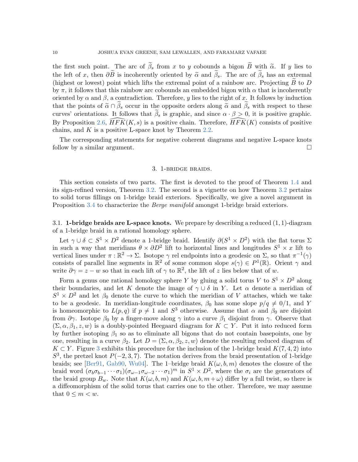the first such point. The arc of  $\tilde{\beta}_s$  from x to y cobounds a bigon  $\tilde{B}$  with  $\tilde{\alpha}$ . If y lies to the left of x, then  $\partial \widetilde{B}$  is incoherently oriented by  $\widetilde{\alpha}$  and  $\widetilde{\beta}_s$ . The arc of  $\widetilde{\beta}_s$  has an extremal (highest or lowest) point which lifts the extremal point of a rainbow arc. Projecting  $\hat{B}$  to  $D$ by  $\pi$ , it follows that this rainbow arc cobounds an embedded bigon with  $\alpha$  that is incoherently oriented by  $\alpha$  and  $\beta$ , a contradiction. Therefore, y lies to the right of x. It follows by induction that the points of  $\tilde{\alpha} \cap \tilde{\beta}_s$  occur in the opposite orders along  $\tilde{\alpha}$  and  $\tilde{\beta}_s$  with respect to these curves' orientations. It follows that  $\tilde{\beta}_s$  is graphic, and since  $\alpha \cdot \beta > 0$ , it is positive graphic. By Proposition [2.6,](#page-8-1)  $HFK(K, s)$  is a positive chain. Therefore,  $HFK(K)$  consists of positive chains, and  $K$  is a positive L-space knot by Theorem [2.2.](#page-4-1)

The corresponding statements for negative coherent diagrams and negative L-space knots follow by a similar argument.

## 3. 1-bridge braids.

<span id="page-9-0"></span>This section consists of two parts. The first is devoted to the proof of Theorem [1.4](#page-1-1) and its sign-refined version, Theorem [3.2.](#page-12-0) The second is a vignette on how Theorem [3.2](#page-12-0) pertains to solid torus fillings on 1-bridge braid exteriors. Specifically, we give a novel argument in Proposition [3.4](#page-14-0) to characterize the *Berge manifold* amongst 1-bridge braid exteriors.

3.1. **1-bridge braids are L-space knots.** We prepare by describing a reduced  $(1, 1)$ -diagram of a 1-bridge braid in a rational homology sphere.

Let  $\gamma \cup \delta \subset S^1 \times D^2$  denote a 1-bridge braid. Identify  $\partial (S^1 \times D^2)$  with the flat torus  $\Sigma$ in such a way that meridians  $\theta \times \partial D^2$  lift to horizontal lines and longitudes  $S^1 \times x$  lift to vertical lines under  $\pi : \mathbb{R}^2 \to \Sigma$ . Isotope  $\gamma$  rel endpoints into a geodesic on  $\Sigma$ , so that  $\pi^{-1}(\gamma)$ consists of parallel line segments in  $\mathbb{R}^2$  of some common slope  $s(\gamma) \in P^1(\mathbb{R})$ . Orient  $\gamma$  and write  $\partial \gamma = z - w$  so that in each lift of  $\gamma$  to  $\mathbb{R}^2$ , the lift of z lies below that of w.

Form a genus one rational homology sphere Y by gluing a solid torus V to  $S^1 \times D^2$  along their boundaries, and let K denote the image of  $\gamma \cup \delta$  in Y. Let  $\alpha$  denote a meridian of  $S^1 \times D^2$  and let  $\beta_0$  denote the curve to which the meridian of V attaches, which we take to be a geodesic. In meridian-longitude coordinates,  $\beta_0$  has some slope  $p/q \neq 0/1$ , and Y is homeomorphic to  $L(p,q)$  if  $p \neq 1$  and  $S^3$  otherwise. Assume that  $\alpha$  and  $\beta_0$  are disjoint from  $\partial \gamma$ . Isotope  $\beta_0$  by a finger-move along  $\gamma$  into a curve  $\beta_1$  disjoint from  $\gamma$ . Observe that  $(\Sigma, \alpha, \beta_1, z, w)$  is a doubly-pointed Heegaard diagram for  $K \subset Y$ . Put it into reduced form by further isotoping  $\beta_1$  so as to eliminate all bigons that do not contain basepoints, one by one, resulting in a curve  $\beta_2$ . Let  $D = (\Sigma, \alpha, \beta_2, z, w)$  denote the resulting reduced diagram of  $K \subset Y$ . Figure [3](#page-10-0) exhibits this procedure for the inclusion of the 1-bridge braid  $K(7, 4, 2)$  into  $S<sup>3</sup>$ , the pretzel knot  $P(-2,3,7)$ . The notation derives from the braid presentation of 1-bridge braids; see [\[Ber91,](#page-15-5) [Gab90,](#page-15-6) [Wu04\]](#page-16-4). The 1-bridge braid  $K(\omega, b, m)$  denotes the closure of the braid word  $(\sigma_b \sigma_{b-1} \cdots \sigma_1)(\sigma_{\omega-1} \sigma_{\omega-2} \cdots \sigma_1)^m$  in  $S^1 \times D^2$ , where the  $\sigma_i$  are the generators of the braid group  $B_w$ . Note that  $K(\omega, b, m)$  and  $K(\omega, b, m + \omega)$  differ by a full twist, so there is a diffeomorphism of the solid torus that carries one to the other. Therefore, we may assume that  $0 \leq m < w$ .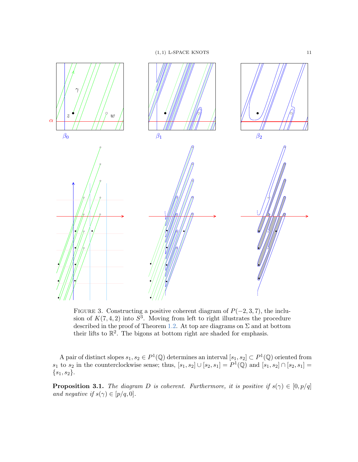

<span id="page-10-0"></span>FIGURE 3. Constructing a positive coherent diagram of  $P(-2, 3, 7)$ , the inclusion of  $K(7, 4, 2)$  into  $S<sup>3</sup>$ . Moving from left to right illustrates the procedure described in the proof of Theorem [1.2.](#page-1-0) At top are diagrams on  $\Sigma$  and at bottom their lifts to  $\mathbb{R}^2$ . The bigons at bottom right are shaded for emphasis.

A pair of distinct slopes  $s_1, s_2 \in P^1(\mathbb{Q})$  determines an interval  $[s_1, s_2] \subset P^1(\mathbb{Q})$  oriented from  $s_1$  to  $s_2$  in the counterclockwise sense; thus,  $[s_1, s_2] \cup [s_2, s_1] = P^1(\mathbb{Q})$  and  $[s_1, s_2] \cap [s_2, s_1] =$  $\{s_1, s_2\}.$ 

<span id="page-10-1"></span>**Proposition 3.1.** The diagram D is coherent. Furthermore, it is positive if  $s(\gamma) \in [0, p/q]$ and negative if  $s(\gamma) \in [p/q, 0].$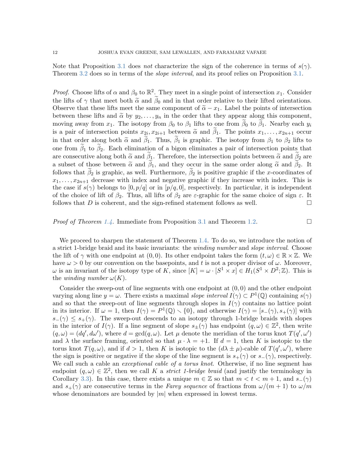Note that Proposition [3.1](#page-10-1) does not characterize the sign of the coherence in terms of  $s(\gamma)$ . Theorem [3.2](#page-12-0) does so in terms of the *slope interval*, and its proof relies on Proposition [3.1.](#page-10-1)

*Proof.* Choose lifts of  $\alpha$  and  $\beta_0$  to  $\mathbb{R}^2$ . They meet in a single point of intersection  $x_1$ . Consider the lifts of  $\gamma$  that meet both  $\tilde{\alpha}$  and  $\beta_0$  and in that order relative to their lifted orientations. Observe that these lifts meet the same component of  $\tilde{\alpha} - x_1$ . Label the points of intersection between these lifts and  $\tilde{\alpha}$  by  $y_2, \ldots, y_n$  in the order that they appear along this component, moving away from  $x_1$ . The isotopy from  $\beta_0$  to  $\beta_1$  lifts to one from  $\beta_0$  to  $\beta_1$ . Nearby each  $y_i$ is a pair of intersection points  $x_{2i}, x_{2i+1}$  between  $\tilde{\alpha}$  and  $\beta_1$ . The points  $x_1, \ldots, x_{2n+1}$  occur<br>in that order clare bath  $\tilde{\beta}$  and  $\tilde{\beta}$ . Thus,  $\tilde{\beta}$  is graphic. The interve from  $\beta$  to  $\beta$  lift in that order along both  $\tilde{\alpha}$  and  $\tilde{\beta}_1$ . Thus,  $\tilde{\beta}_1$  is graphic. The isotopy from  $\beta_1$  to  $\beta_2$  lifts to one from  $\beta_1$  to  $\beta_2$ . Each elimination of a bigon eliminates a pair of intersection points that are consecutive along both  $\tilde{\alpha}$  and  $\beta_1$ . Therefore, the intersection points between  $\tilde{\alpha}$  and  $\beta_2$  are a subset of those between  $\tilde{\alpha}$  and  $\beta_1$ , and they occur in the same order along  $\tilde{\alpha}$  and  $\beta_2$ . It follows that  $\beta_2$  is graphic, as well. Furthermore,  $\beta_2$  is positive graphic if the x-coordinates of  $x_1, \ldots, x_{2n+1}$  decrease with index and negative graphic if they increase with index. This is the case if  $s(\gamma)$  belongs to  $[0, p/q]$  or in  $[p/q, 0]$ , respectively. In particular, it is independent of the choice of lift of  $\beta_2$ . Thus, all lifts of  $\beta_2$  are  $\varepsilon$ -graphic for the same choice of sign  $\varepsilon$ . It follows that  $D$  is coherent, and the sign-refined statement follows as well.  $\Box$ 

## *Proof of Theorem [1.4.](#page-1-1)* Immediate from Proposition [3.1](#page-10-1) and Theorem [1.2.](#page-1-0)

We proceed to sharpen the statement of Theorem [1.4.](#page-1-1) To do so, we introduce the notion of a strict 1-bridge braid and its basic invariants: the winding number and slope interval. Choose the lift of  $\gamma$  with one endpoint at  $(0,0)$ . Its other endpoint takes the form  $(t,\omega) \in \mathbb{R} \times \mathbb{Z}$ . We have  $\omega > 0$  by our convention on the basepoints, and t is not a proper divisor of  $\omega$ . Moreover,  $\omega$  is an invariant of the isotopy type of K, since  $[K] = \omega \cdot [S^1 \times x] \in H_1(S^1 \times D^2; \mathbb{Z})$ . This is the *winding number*  $\omega(K)$ .

Consider the sweep-out of line segments with one endpoint at  $(0, 0)$  and the other endpoint varying along line  $y = \omega$ . There exists a maximal slope interval  $I(\gamma) \subset P^1(\mathbb{Q})$  containing  $s(\gamma)$ and so that the sweep-out of line segments through slopes in  $I(\gamma)$  contains no lattice point in its interior. If  $\omega = 1$ , then  $I(\gamma) = P^1(\mathbb{Q}) \setminus \{0\}$ , and otherwise  $I(\gamma) = [s_{-}(\gamma), s_{+}(\gamma)]$  with  $s_-(\gamma) \leq s_+(\gamma)$ . The sweep-out descends to an isotopy through 1-bridge braids with slopes in the interior of  $I(\gamma)$ . If a line segment of slope  $s_{\pm}(\gamma)$  has endpoint  $(q,\omega) \in \mathbb{Z}^2$ , then write  $(q,\omega) = (dq', d\omega')$ , where  $d = \gcd(q,\omega)$ . Let  $\mu$  denote the meridian of the torus knot  $T(q',\omega')$ and  $\lambda$  the surface framing, oriented so that  $\mu \cdot \lambda = +1$ . If  $d = 1$ , then K is isotopic to the torus knot  $T(q,\omega)$ , and if  $d > 1$ , then K is isotopic to the  $(d\lambda \pm \mu)$ -cable of  $T(q',\omega')$ , where the sign is positive or negative if the slope of the line segment is  $s_{+}(\gamma)$  or  $s_{-}(\gamma)$ , respectively. We call such a cable an *exceptional cable of a torus knot*. Otherwise, if no line segment has endpoint  $(q,\omega) \in \mathbb{Z}^2$ , then we call K a strict 1-bridge braid (and justify the terminology in Corollary [3.3\)](#page-13-0). In this case, there exists a unique  $m \in \mathbb{Z}$  so that  $m < t < m+1$ , and  $s_-(\gamma)$ and  $s_{+}(\gamma)$  are consecutive terms in the Farey sequence of fractions from  $\omega/(m+1)$  to  $\omega/m$ whose denominators are bounded by  $|m|$  when expressed in lowest terms.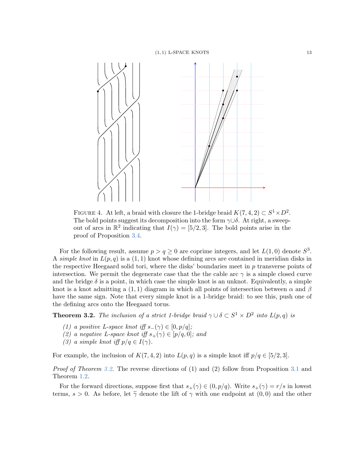

<span id="page-12-1"></span>FIGURE 4. At left, a braid with closure the 1-bridge braid  $K(7, 4, 2) \subset S^1 \times D^2$ . The bold points suggest its decomposition into the form  $\gamma \cup \delta$ . At right, a sweepout of arcs in  $\mathbb{R}^2$  indicating that  $I(\gamma) = [5/2, 3]$ . The bold points arise in the proof of Proposition [3.4.](#page-14-0)

For the following result, assume  $p > q \ge 0$  are coprime integers, and let  $L(1,0)$  denote  $S^3$ . A simple knot in  $L(p,q)$  is a  $(1,1)$  knot whose defining arcs are contained in meridian disks in the respective Heegaard solid tori, where the disks' boundaries meet in  $p$  transverse points of intersection. We permit the degenerate case that the the cable arc  $\gamma$  is a simple closed curve and the bridge  $\delta$  is a point, in which case the simple knot is an unknot. Equivalently, a simple knot is a knot admitting a (1, 1) diagram in which all points of intersection between  $\alpha$  and  $\beta$ have the same sign. Note that every simple knot is a 1-bridge braid: to see this, push one of the defining arcs onto the Heegaard torus.

<span id="page-12-0"></span>**Theorem 3.2.** The inclusion of a strict 1-bridge braid  $\gamma \cup \delta \subset S^1 \times D^2$  into  $L(p,q)$  is

- (1) a positive L-space knot iff  $s_-(\gamma) \in [0, p/q]$ ;
- (2) a negative L-space knot iff  $s_+(\gamma) \in [p/q, 0]$ ; and
- (3) a simple knot iff  $p/q \in I(\gamma)$ .

For example, the inclusion of  $K(7, 4, 2)$  into  $L(p, q)$  is a simple knot iff  $p/q \in [5/2, 3]$ .

*Proof of Theorem [3.2.](#page-12-0)* The reverse directions of  $(1)$  and  $(2)$  follow from Proposition [3.1](#page-10-1) and Theorem [1.2.](#page-1-0)

For the forward directions, suppose first that  $s_+(\gamma) \in (0, p/q)$ . Write  $s_+(\gamma) = r/s$  in lowest terms,  $s > 0$ . As before, let  $\tilde{\gamma}$  denote the lift of  $\gamma$  with one endpoint at  $(0,0)$  and the other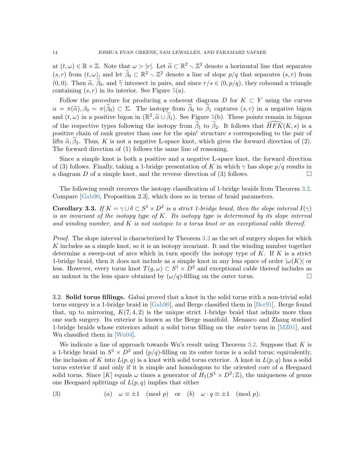at  $(t, \omega) \in \mathbb{R} \times \mathbb{Z}$ . Note that  $\omega > |r|$ . Let  $\widetilde{\alpha} \subset \mathbb{R}^2 \setminus \mathbb{Z}^2$  denote a horizontal line that separates  $(s, r)$  from  $(t, \omega)$ , and let  $\widetilde{\beta}_0 \subset \mathbb{R}^2 \setminus \mathbb{Z}^2$  denote a line of slope  $p/q$  that separates  $(s, r)$  from (0,0). Then  $\tilde{\alpha}$ ,  $\tilde{\beta}_0$ , and  $\tilde{\gamma}$  intersect in pairs, and since  $r/s \in (0, p/q)$ , they cobound a triangle containing  $(s, r)$  in its interior. See Figure [5\(](#page-14-1)a).

Follow the procedure for producing a coherent diagram D for  $K \subset Y$  using the curves  $\alpha = \pi(\tilde{\alpha}), \beta_0 = \pi(\tilde{\beta}_0) \subset \Sigma$ . The isotopy from  $\beta_0$  to  $\beta_1$  captures  $(s, r)$  in a negative bigon and  $(t, \omega)$  in a positive bigon in  $(\mathbb{R}^2, \tilde{\alpha} \cup \tilde{\beta}_1)$ . See Figure [5\(](#page-14-1)b). These points remain in bigons of the respective types following the isotopy from  $\tilde{\beta}_1$  to  $\tilde{\beta}_2$ . It follows that  $\widehat{HFK}(K, s)$  is a positive chain of rank greater than one for the spin<sup>c</sup> structure s corresponding to the pair of lifts  $\tilde{\alpha}, \tilde{\beta}_2$ . Thus, K is not a negative L-space knot, which gives the forward direction of (2). The forward direction of (1) follows the same line of reasoning.

Since a simple knot is both a positive and a negative L-space knot, the forward direction of (3) follows. Finally, taking a 1-bridge presentation of K in which  $\gamma$  has slope  $p/q$  results in a diagram D of a simple knot, and the reverse direction of (3) follows.

The following result recovers the isotopy classification of 1-bridge braids from Theorem [3.2.](#page-12-0) Compare [\[Gab90,](#page-15-6) Proposition 2.3], which does so in terms of braid parameters.

<span id="page-13-0"></span>**Corollary 3.3.** If  $K = \gamma \cup \delta \subset S^1 \times D^2$  is a strict 1-bridge braid, then the slope interval  $I(\gamma)$ is an invariant of the isotopy type of  $K$ . Its isotopy type is determined by its slope interval and winding number, and  $K$  is not isotopic to a torus knot or an exceptional cable thereof.

Proof. The slope interval is characterized by Theorem [3.2](#page-12-0) as the set of surgery slopes for which K includes as a simple knot, so it is an isotopy invariant. It and the winding number together determine a sweep-out of arcs which in turn specify the isotopy type of  $K$ . If  $K$  is a strict 1-bridge braid, then it does not include as a simple knot in any lens space of order  $|\omega(K)|$  or less. However, every torus knot  $T(q,\omega) \subset S^1 \times D^2$  and exceptional cable thereof includes as an unknot in the lens space obtained by  $(\omega/q)$ -filling on the outer torus.

3.2. Solid torus fillings. Gabai proved that a knot in the solid torus with a non-trivial solid torus surgery is a 1-bridge braid in [\[Gab90\]](#page-15-6), and Berge classified them in [\[Ber91\]](#page-15-5). Berge found that, up to mirroring,  $K(7, 4, 2)$  is the unique strict 1-bridge braid that admits more than one such surgery. Its exterior is known as the Berge manifold. Menasco and Zhang studied 1-bridge braids whose exteriors admit a solid torus filling on the *outer* torus in  $[MZ01]$ , and Wu classified them in [\[Wu04\]](#page-16-4).

We indicate a line of approach towards Wu's result using Theorem [3.2.](#page-12-0) Suppose that  $K$  is a 1-bridge braid in  $S^1 \times D^2$  and  $(p/q)$ -filling on its outer torus is a solid torus; equivalently, the inclusion of K into  $L(p,q)$  is a knot with solid torus exterior. A knot in  $L(p,q)$  has a solid torus exterior if and only if it is simple and homologous to the oriented core of a Heegaard solid torus. Since [K] equals  $\omega$  times a generator of  $H_1(S^1 \times D^2; \mathbb{Z})$ , the uniqueness of genus one Heegaard splittings of  $L(p,q)$  implies that either

<span id="page-13-1"></span>(3) 
$$
(a) \quad \omega \equiv \pm 1 \pmod{p} \quad \text{or} \quad (b) \quad \omega \cdot q \equiv \pm 1 \pmod{p};
$$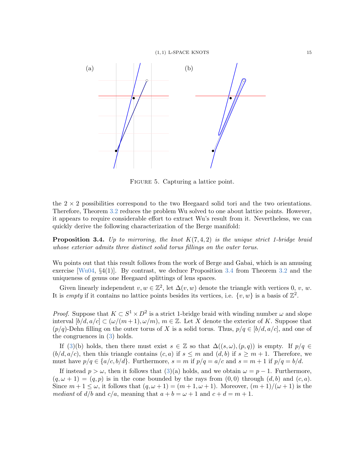

<span id="page-14-1"></span>FIGURE 5. Capturing a lattice point.

the  $2 \times 2$  possibilities correspond to the two Heegaard solid tori and the two orientations. Therefore, Theorem [3.2](#page-12-0) reduces the problem Wu solved to one about lattice points. However, it appears to require considerable effort to extract Wu's result from it. Nevertheless, we can quickly derive the following characterization of the Berge manifold:

<span id="page-14-0"></span>**Proposition 3.4.** Up to mirroring, the knot  $K(7, 4, 2)$  is the unique strict 1-bridge braid whose exterior admits three distinct solid torus fillings on the outer torus.

Wu points out that this result follows from the work of Berge and Gabai, which is an amusing exercise  $[Wu04, \, \S4(1)]$  $[Wu04, \, \S4(1)]$ . By contrast, we deduce Proposition [3.4](#page-14-0) from Theorem [3.2](#page-12-0) and the uniqueness of genus one Heegaard splittings of lens spaces.

Given linearly independent  $v, w \in \mathbb{Z}^2$ , let  $\Delta(v, w)$  denote the triangle with vertices 0, v, w. It is empty if it contains no lattice points besides its vertices, i.e.  $\{v, w\}$  is a basis of  $\mathbb{Z}^2$ .

*Proof.* Suppose that  $K \subset S^1 \times D^2$  is a strict 1-bridge braid with winding number  $\omega$  and slope interval  $[b/d, a/c] \subset (\omega/(m+1), \omega/m)$ ,  $m \in \mathbb{Z}$ . Let X denote the exterior of K. Suppose that  $(p/q)$ -Dehn filling on the outer torus of X is a solid torus. Thus,  $p/q \in [b/d, a/c]$ , and one of the congruences in [\(3\)](#page-13-1) holds.

If [\(3\)](#page-13-1)(b) holds, then there must exist  $s \in \mathbb{Z}$  so that  $\Delta((s,\omega),(p,q))$  is empty. If  $p/q \in$  $(b/d, a/c)$ , then this triangle contains  $(c, a)$  if  $s \leq m$  and  $(d, b)$  if  $s \geq m + 1$ . Therefore, we must have  $p/q \in \{a/c, b/d\}$ . Furthermore,  $s = m$  if  $p/q = a/c$  and  $s = m + 1$  if  $p/q = b/d$ .

If instead  $p > \omega$ , then it follows that [\(3\)](#page-13-1)(a) holds, and we obtain  $\omega = p - 1$ . Furthermore,  $(q, \omega + 1) = (q, p)$  is in the cone bounded by the rays from  $(0, 0)$  through  $(d, b)$  and  $(c, a)$ . Since  $m+1 \leq \omega$ , it follows that  $(q, \omega + 1) = (m+1, \omega + 1)$ . Moreover,  $(m+1)/(\omega + 1)$  is the mediant of  $d/b$  and  $c/a$ , meaning that  $a + b = \omega + 1$  and  $c + d = m + 1$ .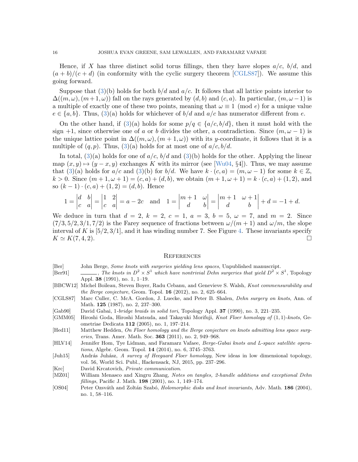Hence, if X has three distinct solid torus fillings, then they have slopes  $a/c$ ,  $b/d$ , and  $(a + b)/(c + d)$  (in conformity with the cyclic surgery theorem [\[CGLS87\]](#page-15-11)). We assume this going forward.

Suppose that  $(3)(b)$  $(3)(b)$  holds for both  $b/d$  and  $a/c$ . It follows that all lattice points interior to  $\Delta((m,\omega),(m+1,\omega))$  fall on the rays generated by  $(d,b)$  and  $(c,a)$ . In particular,  $(m,\omega-1)$  is a multiple of exactly one of these two points, meaning that  $\omega \equiv 1 \pmod{e}$  for a unique value  $e \in \{a, b\}$ . Thus, [\(3\)](#page-13-1)(a) holds for whichever of  $b/d$  and  $a/c$  has numerator different from e.

On the other hand, if [\(3\)](#page-13-1)(a) holds for some  $p/q \in \{a/c, b/d\}$ , then it must hold with the sign +1, since otherwise one of a or b divides the other, a contradiction. Since  $(m, \omega - 1)$  is the unique lattice point in  $\Delta((m,\omega),(m+1,\omega))$  with its y-coordinate, it follows that it is a multiple of  $(q, p)$ . Thus,  $(3)(a)$  $(3)(a)$  holds for at most one of  $a/c, b/d$ .

In total,  $(3)(a)$  $(3)(a)$  holds for one of  $a/c$ ,  $b/d$  and  $(3)(b)$  holds for the other. Applying the linear map  $(x, y) \mapsto (y - x, y)$  exchanges K with its mirror (see [\[Wu04,](#page-16-4) §4]). Thus, we may assume that [\(3\)](#page-13-1)(a) holds for  $a/c$  and (3)(b) for  $b/d$ . We have  $k \cdot (c, a) = (m, \omega - 1)$  for some  $k \in \mathbb{Z}$ ,  $k > 0$ . Since  $(m + 1, \omega + 1) = (c, a) + (d, b)$ , we obtain  $(m + 1, \omega + 1) = k \cdot (c, a) + (1, 2)$ , and so  $(k-1) \cdot (c, a) + (1, 2) = (d, b)$ . Hence

$$
1 = \begin{vmatrix} d & b \\ c & a \end{vmatrix} = \begin{vmatrix} 1 & 2 \\ c & a \end{vmatrix} = a - 2c \quad \text{and} \quad 1 = \begin{vmatrix} m+1 & \omega \\ d & b \end{vmatrix} = \begin{vmatrix} m+1 & \omega+1 \\ d & b \end{vmatrix} + d = -1 + d.
$$

We deduce in turn that  $d = 2, k = 2, c = 1, a = 3, b = 5, \omega = 7, \text{ and } m = 2.$  Since  $(7/3, 5/2, 3/1, 7/2)$  is the Farey sequence of fractions between  $\omega/(m+1)$  and  $\omega/m$ , the slope interval of K is  $[5/2, 3/1]$ , and it has winding number 7. See Figure [4.](#page-12-1) These invariants specify  $K \simeq K(7, 4, 2).$ 

#### **REFERENCES**

- <span id="page-15-1"></span>[Ber] John Berge, Some knots with surgeries yielding lens spaces, Unpublished manuscript.
- <span id="page-15-5"></span>[Ber91]  $\qquad \qquad \qquad$ , The knots in  $D^2 \times S^1$  which have nontrivial Dehn surgeries that yield  $D^2 \times S^1$ , Topology Appl. 38 (1991), no. 1, 1–19.
- <span id="page-15-8"></span>[BBCW12] Michel Boileau, Steven Boyer, Radu Cebanu, and Genevieve S. Walsh, Knot commensurability and *the Berge conjecture, Geom. Topol.* **16**  $(2012)$ , no. 2, 625–664.
- <span id="page-15-11"></span>[CGLS87] Marc Culler, C. McA. Gordon, J. Luecke, and Peter B. Shalen, Dehn surgery on knots, Ann. of Math. 125 (1987), no. 2, 237-300.
- <span id="page-15-6"></span>[Gab90] David Gabai, 1-bridge braids in solid tori, Topology Appl. 37 (1990), no. 3, 221–235.
- <span id="page-15-3"></span>[GMM05] Hiroshi Goda, Hiroshi Matsuda, and Takayuki Morifuji, Knot Floer homology of (1, 1)-knots, Geometriae Dedicata 112 (2005), no. 1, 197–214.
- <span id="page-15-4"></span>[Hed11] Matthew Hedden, On Floer homology and the Berge conjecture on knots admitting lens space surgeries, Trans. Amer. Math. Soc. 363 (2011), no. 2, 949–968.
- <span id="page-15-2"></span>[HLV14] Jennifer Hom, Tye Lidman, and Faramarz Vafaee, Berge-Gabai knots and L-space satellite operations, Algebr. Geom. Topol. 14 (2014), no. 6, 3745–3763.
- <span id="page-15-0"></span>[Juh15] András Juhász, A survey of Heegaard Floer homology, New ideas in low dimensional topology, vol. 56, World Sci. Publ., Hackensack, NJ, 2015, pp. 237–296.
- <span id="page-15-7"></span>[Krc] David Krcatovich, Private communication.
- <span id="page-15-10"></span>[MZ01] William Menasco and Xingru Zhang, Notes on tangles, 2-handle additions and exceptional Dehn fillings, Pacific J. Math. 198 (2001), no. 1, 149–174.
- <span id="page-15-9"></span>[OS04] Peter Ozsváth and Zoltán Szabó, *Holomorphic disks and knot invariants*, Adv. Math. 186 (2004), no. 1, 58–116.